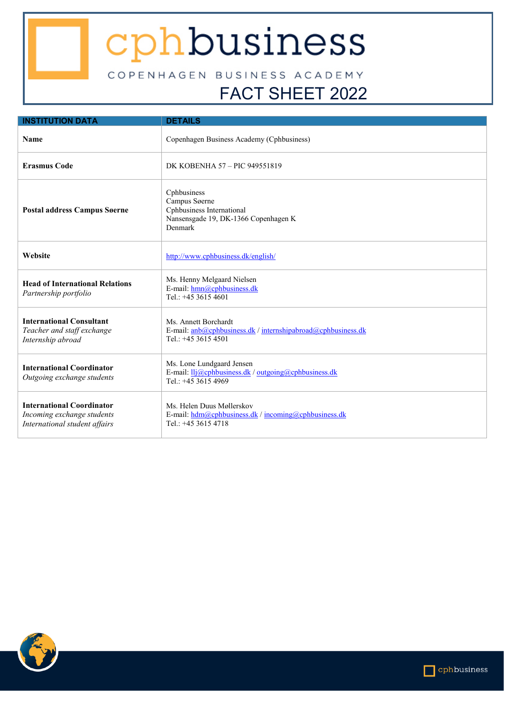## cphbusiness

COPENHAGEN BUSINESS ACADEMY FACT SHEET 2022

## **INSTITUTION DATA DETAILS Name** Copenhagen Business Academy (Cphbusiness) **Erasmus Code** DK KOBENHA 57 – PIC 949551819 **Postal address Campus Søerne** Cphbusiness Campus Søerne Cphbusiness International Nansensgade 19, DK-1366 Copenhagen K Denmark **Website** <http://www.cphbusiness.dk/english/> **Head of International Relations** *Partnership portfolio* Ms. Henny Melgaard Nielsen E-mail: [hmn@cphbusiness.dk](mailto:hmn@cphbusiness.dk) Tel.: +45 3615 4601 **International Consultant** *Teacher and staff exchange Internship abroad* Ms. Annett Borchardt E-mail: [anb@cphbusiness.dk](mailto:anb@cphbusiness.dk) [/ internshipabroad@cphbusiness.dk](mailto:internshipabroad@cphbusiness.dk) Tel.: +45 3615 4501 **International Coordinator** *Outgoing exchange students* Ms. Lone Lundgaard Jensen E-mail: [llj@cphbusiness.dk](mailto:llj@cphbusiness.dk) [/ outgoing@cphbusiness.dk](mailto:outgoing@cphbusiness.dk) Tel.: +45 3615 4969 **International Coordinator** *Incoming exchange students International student affairs* Ms. Helen Duus Møllerskov E-mail: [hdm@cphbusiness.dk](mailto:hdm@cphbusiness.dk) [/ incoming@cphbusiness.dk](mailto:incoming@cphbusiness.dk) Tel.: +45 3615 4718